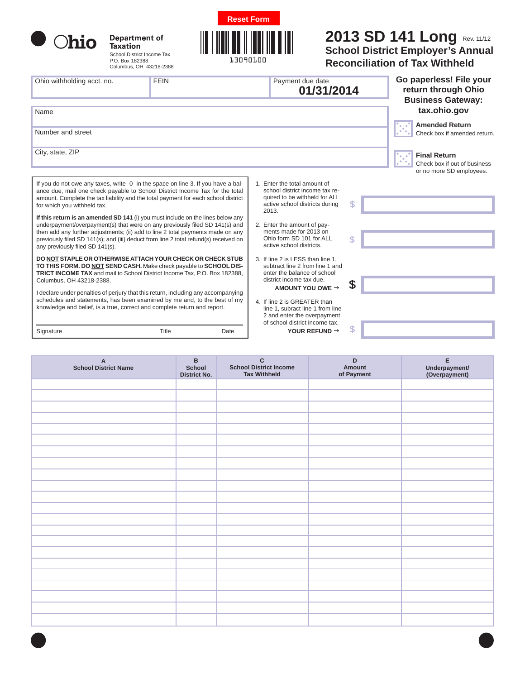

| Department of<br><b>Taxation</b> |  |  |  |  |
|----------------------------------|--|--|--|--|
| School District Income Tax       |  |  |  |  |
| P.O. Box 182388                  |  |  |  |  |

Columbus, OH 43218-2388



## **2013 SD 141 Long** Rev. 11/12

**School District Employer's Annual Reconciliation of Tax Withheld**

| Ohio withholding acct. no.<br>Name                                                                                                                                                                                                                                                                                                                                                                                                                      | <b>FEIN</b> |                                                                                                                                                                                               | Payment due date<br>01/31/2014                                                                                                                                                                      |    | Go paperless! File your<br>return through Ohio<br><b>Business Gateway:</b><br>tax.ohio.gov |
|---------------------------------------------------------------------------------------------------------------------------------------------------------------------------------------------------------------------------------------------------------------------------------------------------------------------------------------------------------------------------------------------------------------------------------------------------------|-------------|-----------------------------------------------------------------------------------------------------------------------------------------------------------------------------------------------|-----------------------------------------------------------------------------------------------------------------------------------------------------------------------------------------------------|----|--------------------------------------------------------------------------------------------|
| Number and street                                                                                                                                                                                                                                                                                                                                                                                                                                       |             |                                                                                                                                                                                               |                                                                                                                                                                                                     |    | <b>Amended Return</b><br>le je<br>Check box if amended return.                             |
| City, state, ZIP                                                                                                                                                                                                                                                                                                                                                                                                                                        |             |                                                                                                                                                                                               |                                                                                                                                                                                                     |    | <b>Final Return</b><br>Check box if out of business<br>or no more SD employees.            |
| If you do not owe any taxes, write -0- in the space on line 3. If you have a bal-<br>ance due, mail one check payable to School District Income Tax for the total<br>amount. Complete the tax liability and the total payment for each school district<br>for which you withheld tax.<br>If this return is an amended SD 141 (i) you must include on the lines below any<br>underpayment/overpayment(s) that were on any previously filed SD 141(s) and |             |                                                                                                                                                                                               | 1. Enter the total amount of<br>school district income tax re-<br>quired to be withheld for ALL<br>active school districts during<br>2013.<br>2. Enter the amount of pay-<br>ments made for 2013 on | \$ |                                                                                            |
| then add any further adjustments; (ii) add to line 2 total payments made on any<br>previously filed SD 141(s); and (iii) deduct from line 2 total refund(s) received on<br>any previously filed SD 141(s).                                                                                                                                                                                                                                              |             | Ohio form SD 101 for ALL<br>active school districts.                                                                                                                                          |                                                                                                                                                                                                     |    |                                                                                            |
| DO NOT STAPLE OR OTHERWISE ATTACH YOUR CHECK OR CHECK STUB<br>TO THIS FORM. DO NOT SEND CASH. Make check payable to SCHOOL DIS-<br>TRICT INCOME TAX and mail to School District Income Tax, P.O. Box 182388,                                                                                                                                                                                                                                            |             |                                                                                                                                                                                               | 3. If line 2 is LESS than line 1.<br>subtract line 2 from line 1 and<br>enter the balance of school                                                                                                 |    |                                                                                            |
| Columbus, OH 43218-2388.<br>I declare under penalties of perjury that this return, including any accompanying<br>schedules and statements, has been examined by me and, to the best of my<br>knowledge and belief, is a true, correct and complete return and report.                                                                                                                                                                                   |             | district income tax due.<br>AMOUNT YOU OWE $\rightarrow$<br>4. If line 2 is GREATER than<br>line 1, subract line 1 from line<br>2 and enter the overpayment<br>of school district income tax. | \$                                                                                                                                                                                                  |    |                                                                                            |
| Signature                                                                                                                                                                                                                                                                                                                                                                                                                                               | Title       | Date                                                                                                                                                                                          | YOUR REFUND $\rightarrow$                                                                                                                                                                           | \$ |                                                                                            |

| A<br>School District Name | $\, {\bf B}$<br>School<br><b>District No.</b> | $\mathbf{C}$<br><b>School District Income</b><br><b>Tax Withheld</b> | $\mathsf D$<br>Amount<br>of Payment | E<br>Underpayment/<br>(Overpayment) |
|---------------------------|-----------------------------------------------|----------------------------------------------------------------------|-------------------------------------|-------------------------------------|
|                           |                                               |                                                                      |                                     |                                     |
|                           |                                               |                                                                      |                                     |                                     |
|                           |                                               |                                                                      |                                     |                                     |
|                           |                                               |                                                                      |                                     |                                     |
|                           |                                               |                                                                      |                                     |                                     |
|                           |                                               |                                                                      |                                     |                                     |
|                           |                                               |                                                                      |                                     |                                     |
|                           |                                               |                                                                      |                                     |                                     |
|                           |                                               |                                                                      |                                     |                                     |
|                           |                                               |                                                                      |                                     |                                     |
|                           |                                               |                                                                      |                                     |                                     |
|                           |                                               |                                                                      |                                     |                                     |
|                           |                                               |                                                                      |                                     |                                     |
|                           |                                               |                                                                      |                                     |                                     |
|                           |                                               |                                                                      |                                     |                                     |
|                           |                                               |                                                                      |                                     |                                     |
|                           |                                               |                                                                      |                                     |                                     |
|                           |                                               |                                                                      |                                     |                                     |
|                           |                                               |                                                                      |                                     |                                     |
|                           |                                               |                                                                      |                                     |                                     |
|                           |                                               |                                                                      |                                     |                                     |
|                           |                                               |                                                                      |                                     |                                     |